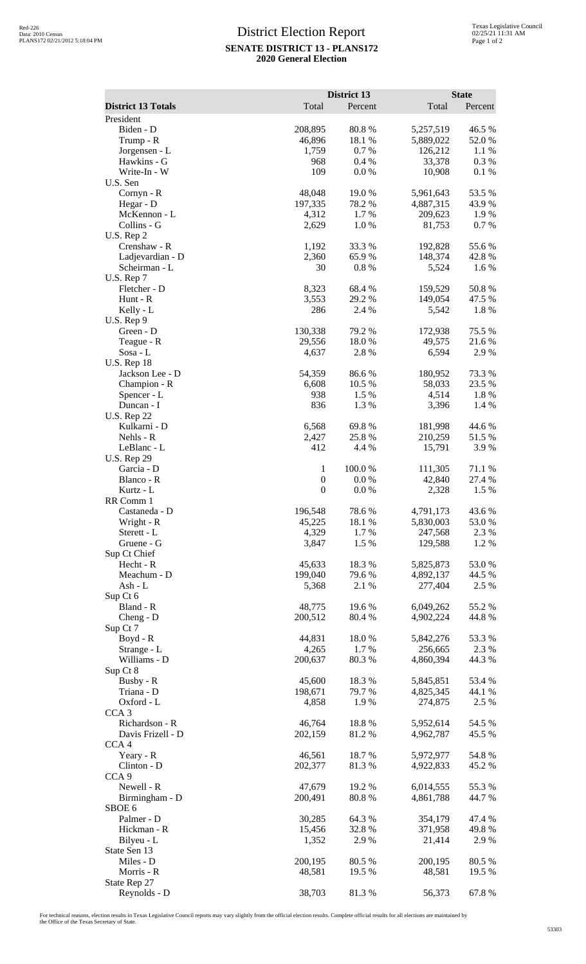## District Election Report **SENATE DISTRICT 13 - PLANS172 2020 General Election**

|                                     | District 13                          |                |                      | <b>State</b>    |  |
|-------------------------------------|--------------------------------------|----------------|----------------------|-----------------|--|
| <b>District 13 Totals</b>           | Total                                | Percent        | Total                | Percent         |  |
| President                           |                                      |                |                      |                 |  |
| Biden - D                           | 208,895                              | 80.8%          | 5,257,519            | 46.5 %          |  |
| Trump - R                           | 46,896                               | 18.1 %         | 5,889,022            | 52.0%           |  |
| Jorgensen - L<br>Hawkins - G        | 1,759<br>968                         | 0.7%<br>0.4%   | 126,212<br>33,378    | 1.1 %<br>0.3%   |  |
| Write-In - W                        | 109                                  | 0.0 %          | 10,908               | 0.1 %           |  |
| U.S. Sen                            |                                      |                |                      |                 |  |
| Cornyn - R                          | 48,048                               | 19.0 %         | 5,961,643            | 53.5 %          |  |
| Hegar - D                           | 197,335                              | 78.2 %         | 4,887,315            | 43.9%           |  |
| McKennon - L                        | 4,312                                | 1.7 %          | 209,623              | 1.9%            |  |
| Collins - G                         | 2,629                                | 1.0%           | 81,753               | 0.7%            |  |
| U.S. Rep 2<br>Crenshaw - R          | 1,192                                | 33.3 %         | 192,828              | 55.6%           |  |
| Ladjevardian - D                    | 2,360                                | 65.9%          | 148,374              | 42.8%           |  |
| Scheirman - L                       | 30                                   | 0.8%           | 5,524                | 1.6 %           |  |
| U.S. Rep 7                          |                                      |                |                      |                 |  |
| Fletcher - D                        | 8,323                                | 68.4%          | 159,529              | 50.8%           |  |
| Hunt - R                            | 3,553                                | 29.2 %         | 149,054              | 47.5 %          |  |
| Kelly - L                           | 286                                  | 2.4 %          | 5,542                | 1.8%            |  |
| $U.S.$ Rep $9$<br>Green - D         | 130,338                              | 79.2 %         | 172,938              | 75.5 %          |  |
| Teague - R                          | 29,556                               | 18.0%          | 49,575               | 21.6%           |  |
| $Sosa - L$                          | 4,637                                | 2.8 %          | 6,594                | 2.9%            |  |
| U.S. Rep $18$                       |                                      |                |                      |                 |  |
| Jackson Lee - D                     | 54,359                               | 86.6%          | 180,952              | 73.3 %          |  |
| Champion - R                        | 6,608                                | 10.5 %         | 58,033               | 23.5 %          |  |
| Spencer - L<br>Duncan - I           | 938<br>836                           | 1.5 %<br>1.3%  | 4,514                | 1.8%            |  |
| <b>U.S. Rep 22</b>                  |                                      |                | 3,396                | 1.4 %           |  |
| Kulkarni - D                        | 6,568                                | 69.8%          | 181,998              | 44.6 %          |  |
| Nehls - R                           | 2,427                                | 25.8%          | 210,259              | 51.5 %          |  |
| LeBlanc - L                         | 412                                  | 4.4 %          | 15,791               | 3.9%            |  |
| <b>U.S. Rep 29</b>                  |                                      |                |                      |                 |  |
| Garcia - D                          | 1                                    | 100.0 %        | 111,305              | 71.1 %          |  |
| Blanco - R<br>Kurtz - L             | $\boldsymbol{0}$<br>$\boldsymbol{0}$ | 0.0 %<br>0.0 % | 42,840<br>2,328      | 27.4 %<br>1.5 % |  |
| RR Comm 1                           |                                      |                |                      |                 |  |
| Castaneda - D                       | 196,548                              | 78.6 %         | 4,791,173            | 43.6%           |  |
| Wright - R                          | 45,225                               | 18.1 %         | 5,830,003            | 53.0 %          |  |
| Sterett - L                         | 4,329                                | 1.7%           | 247,568              | 2.3 %           |  |
| Gruene - G                          | 3,847                                | 1.5 %          | 129,588              | 1.2 %           |  |
| Sup Ct Chief<br>Hecht - R           | 45,633                               | 18.3%          | 5,825,873            | 53.0%           |  |
| Meachum - D                         | 199,040                              | 79.6%          | 4,892,137            | 44.5 %          |  |
| Ash - L                             | 5,368                                | 2.1 %          | 277,404              | 2.5 %           |  |
| Sup Ct 6                            |                                      |                |                      |                 |  |
| Bland - R                           | 48,775                               | 19.6%          | 6,049,262            | 55.2 %          |  |
| Cheng - D                           | 200,512                              | 80.4%          | 4,902,224            | 44.8%           |  |
| Sup Ct 7                            |                                      |                |                      |                 |  |
| Boyd - R<br>Strange - L             | 44,831<br>4,265                      | 18.0%<br>1.7%  | 5,842,276<br>256,665 | 53.3%<br>2.3 %  |  |
| Williams - D                        | 200,637                              | 80.3%          | 4,860,394            | 44.3 %          |  |
| Sup Ct 8                            |                                      |                |                      |                 |  |
| Busby - R                           | 45,600                               | 18.3%          | 5,845,851            | 53.4 %          |  |
| Triana - D                          | 198,671                              | 79.7%          | 4,825,345            | 44.1 %          |  |
| Oxford - L                          | 4,858                                | 1.9%           | 274,875              | 2.5 %           |  |
| CCA <sub>3</sub><br>Richardson - R  | 46,764                               | 18.8%          | 5,952,614            | 54.5 %          |  |
| Davis Frizell - D                   | 202,159                              | 81.2%          | 4,962,787            | 45.5 %          |  |
| CCA <sub>4</sub>                    |                                      |                |                      |                 |  |
| Yeary - R                           | 46,561                               | 18.7%          | 5,972,977            | 54.8%           |  |
| Clinton - D                         | 202,377                              | 81.3%          | 4,922,833            | 45.2 %          |  |
| CCA <sub>9</sub>                    |                                      |                |                      |                 |  |
| Newell - R                          | 47,679                               | 19.2 %         | 6,014,555            | 55.3%           |  |
| Birmingham - D<br>SBOE <sub>6</sub> | 200,491                              | 80.8%          | 4,861,788            | 44.7 %          |  |
| Palmer - D                          | 30,285                               | 64.3 %         | 354,179              | 47.4 %          |  |
| Hickman - R                         | 15,456                               | 32.8%          | 371,958              | 49.8%           |  |
| Bilyeu - L                          | 1,352                                | 2.9 %          | 21,414               | 2.9 %           |  |
| State Sen 13                        |                                      |                |                      |                 |  |
| Miles - D                           | 200,195                              | 80.5 %         | 200,195              | 80.5 %          |  |
| Morris - R<br>State Rep 27          | 48,581                               | 19.5 %         | 48,581               | 19.5 %          |  |
| Reynolds - D                        | 38,703                               | 81.3%          | 56,373               | 67.8%           |  |

For technical reasons, election results in Texas Legislative Council reports may vary slightly from the official election results. Complete official results for all elections are maintained by<br>the Office of the Texas Secre